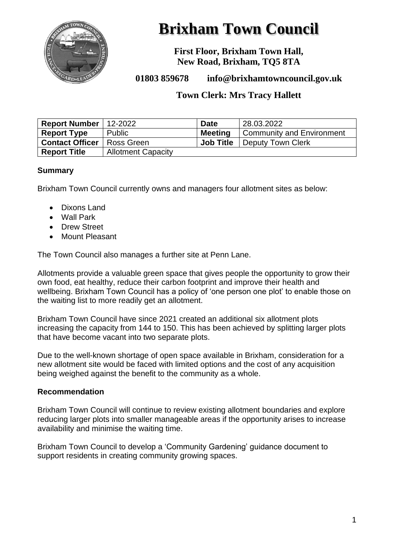

# **Brixham Town Council**

**First Floor, Brixham Town Hall, New Road, Brixham, TQ5 8TA**

# **01803 859678 info@brixhamtowncouncil.gov.uk**

# **Town Clerk: Mrs Tracy Hallett**

| Report Number   12-2022 |                           | <b>Date</b>      | 28.03.2022                       |
|-------------------------|---------------------------|------------------|----------------------------------|
| <b>Report Type</b>      | Public                    | <b>Meeting</b>   | <b>Community and Environment</b> |
| <b>Contact Officer</b>  | I Ross Green              | <b>Job Title</b> | Deputy Town Clerk                |
| <b>Report Title</b>     | <b>Allotment Capacity</b> |                  |                                  |

## **Summary**

Brixham Town Council currently owns and managers four allotment sites as below:

- Dixons Land
- Wall Park
- Drew Street
- Mount Pleasant

The Town Council also manages a further site at Penn Lane.

Allotments provide a valuable green space that gives people the opportunity to grow their own food, eat healthy, reduce their carbon footprint and improve their health and wellbeing. Brixham Town Council has a policy of 'one person one plot' to enable those on the waiting list to more readily get an allotment.

Brixham Town Council have since 2021 created an additional six allotment plots increasing the capacity from 144 to 150. This has been achieved by splitting larger plots that have become vacant into two separate plots.

Due to the well-known shortage of open space available in Brixham, consideration for a new allotment site would be faced with limited options and the cost of any acquisition being weighed against the benefit to the community as a whole.

#### **Recommendation**

Brixham Town Council will continue to review existing allotment boundaries and explore reducing larger plots into smaller manageable areas if the opportunity arises to increase availability and minimise the waiting time.

Brixham Town Council to develop a 'Community Gardening' guidance document to support residents in creating community growing spaces.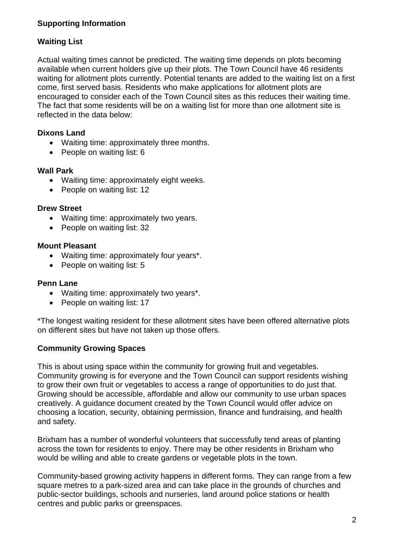# **Supporting Information**

# **Waiting List**

Actual waiting times cannot be predicted. The waiting time depends on plots becoming available when current holders give up their plots. The Town Council have 46 residents waiting for allotment plots currently. Potential tenants are added to the waiting list on a first come, first served basis. Residents who make applications for allotment plots are encouraged to consider each of the Town Council sites as this reduces their waiting time. The fact that some residents will be on a waiting list for more than one allotment site is reflected in the data below:

# **Dixons Land**

- Waiting time: approximately three months.
- People on waiting list: 6

#### **Wall Park**

- Waiting time: approximately eight weeks.
- People on waiting list: 12

#### **Drew Street**

- Waiting time: approximately two years.
- People on waiting list: 32

#### **Mount Pleasant**

- Waiting time: approximately four years\*.
- People on waiting list: 5

#### **Penn Lane**

- Waiting time: approximately two years\*.
- People on waiting list: 17

\*The longest waiting resident for these allotment sites have been offered alternative plots on different sites but have not taken up those offers.

## **Community Growing Spaces**

This is about using space within the community for growing fruit and vegetables. Community growing is for everyone and the Town Council can support residents wishing to grow their own fruit or vegetables to access a range of opportunities to do just that. Growing should be accessible, affordable and allow our community to use urban spaces creatively. A guidance document created by the Town Council would offer advice on choosing a location, security, obtaining permission, finance and fundraising, and health and safety.

Brixham has a number of wonderful volunteers that successfully tend areas of planting across the town for residents to enjoy. There may be other residents in Brixham who would be willing and able to create gardens or vegetable plots in the town.

Community-based growing activity happens in different forms. They can range from a few square metres to a park-sized area and can take place in the grounds of churches and public-sector buildings, schools and nurseries, land around police stations or health centres and public parks or greenspaces.